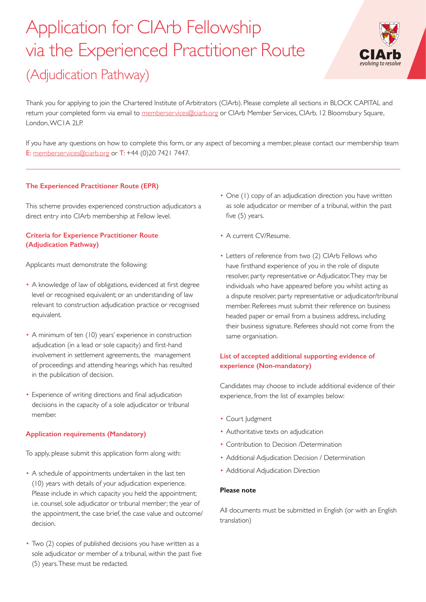# Application for CIArb Fellowship via the Experienced Practitioner Route (Adjudication Pathway)



Thank you for applying to join the Chartered Institute of Arbitrators (CIArb). Please complete all sections in BLOCK CAPITAL and return your completed form via email to [memberservices@ciarb.org](mailto:memberservices%40ciarb.org?subject=) or ClArb Member Services, ClArb, 12 Bloomsbury Square, London, WC1A 2LP.

If you have any questions on how to complete this form, or any aspect of becoming a member, please contact our membership team E: [memberservices@ciarb.org](mailto:memberservices%40ciarb.org?subject=) or T: +44 (0)20 7421 7447.

# **The Experienced Practitioner Route (EPR)**

This scheme provides experienced construction adjudicators a direct entry into CIArb membership at Fellow level.

# **Criteria for Experience Practitioner Route (Adjudication Pathway)**

Applicants must demonstrate the following:

- A knowledge of law of obligations, evidenced at first degree level or recognised equivalent; or an understanding of law relevant to construction adjudication practice or recognised equivalent.
- A minimum of ten (10) years' experience in construction adjudication (in a lead or sole capacity) and first-hand involvement in settlement agreements, the management of proceedings and attending hearings which has resulted in the publication of decision.
- Experience of writing directions and final adjudication decisions in the capacity of a sole adjudicator or tribunal member.

# **Application requirements (Mandatory)**

To apply, please submit this application form along with:

- A schedule of appointments undertaken in the last ten (10) years with details of your adjudication experience. Please include in which capacity you held the appointment; i.e. counsel, sole adjudicator or tribunal member; the year of the appointment, the case brief, the case value and outcome/ decision.
- Two (2) copies of published decisions you have written as a sole adjudicator or member of a tribunal, within the past five (5) years. These must be redacted.
- One (1) copy of an adjudication direction you have written as sole adjudicator or member of a tribunal, within the past five (5) years.
- A current CV/Resume.
- Letters of reference from two (2) CIArb Fellows who have firsthand experience of you in the role of dispute resolver, party representative or Adjudicator. They may be individuals who have appeared before you whilst acting as a dispute resolver, party representative or adjudicator/tribunal member. Referees must submit their reference on business headed paper or email from a business address, including their business signature. Referees should not come from the same organisation.

# **List of accepted additional supporting evidence of experience (Non-mandatory)**

Candidates may choose to include additional evidence of their experience, from the list of examples below:

- Court Judgment
- Authoritative texts on adjudication
- Contribution to Decision /Determination
- Additional Adjudication Decision / Determination
- Additional Adjudication Direction

## **Please note**

All documents must be submitted in English (or with an English translation)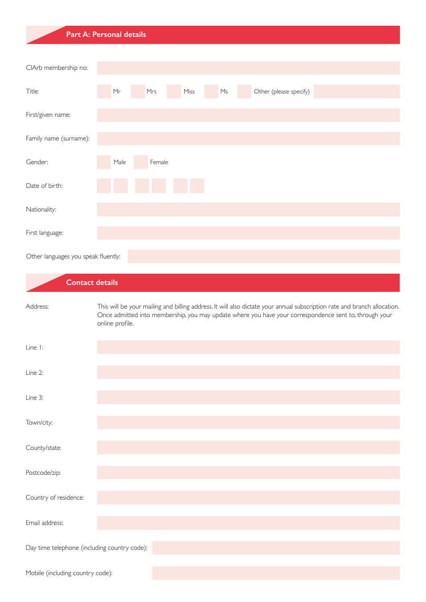# **Part A: Personal details** Title: First/given name: Family name (surname): Gender: Date of birth: Nationality: First language: Mr Mrs Miss Ms Other (please specify) CIArb membership no: Male Female

Other languages you speak fluently:

| <b>Contact details</b>                       |                                                                                                                                                                                                                                                       |
|----------------------------------------------|-------------------------------------------------------------------------------------------------------------------------------------------------------------------------------------------------------------------------------------------------------|
| Address:                                     | This will be your mailing and billing address. It will also dictate your annual subscription rate and branch allocation.<br>Once admitted into membership, you may update where you have your correspondence sent to, through your<br>online profile. |
| Line 1:                                      |                                                                                                                                                                                                                                                       |
| Line 2:                                      |                                                                                                                                                                                                                                                       |
| Line 3:                                      |                                                                                                                                                                                                                                                       |
| Town/city:                                   |                                                                                                                                                                                                                                                       |
| County/state:                                |                                                                                                                                                                                                                                                       |
| Postcode/zip:                                |                                                                                                                                                                                                                                                       |
| Country of residence:                        |                                                                                                                                                                                                                                                       |
| Email address:                               |                                                                                                                                                                                                                                                       |
| Day time telephone (including country code): |                                                                                                                                                                                                                                                       |
| Mobile (including country code):             |                                                                                                                                                                                                                                                       |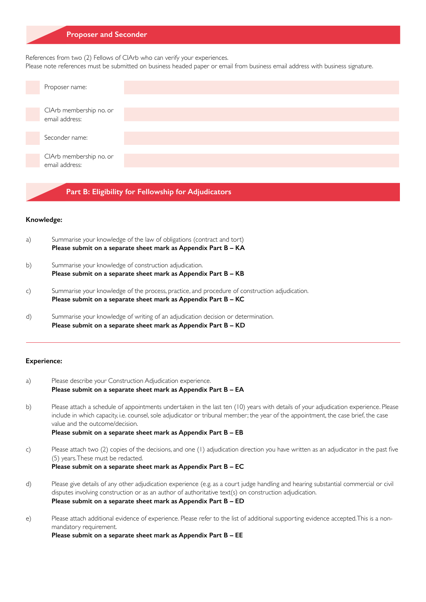## **Proposer and Seconder**

References from two (2) Fellows of CIArb who can verify your experiences.

Please note references must be submitted on business headed paper or email from business email address with business signature.



**Part B: Eligibility for Fellowship for Adjudicators**

#### **Knowledge:**

- a) Summarise your knowledge of the law of obligations (contract and tort) **Please submit on a separate sheet mark as Appendix Part B – KA**
- b) Summarise your knowledge of construction adjudication. **Please submit on a separate sheet mark as Appendix Part B – KB**
- c) Summarise your knowledge of the process, practice, and procedure of construction adjudication. **Please submit on a separate sheet mark as Appendix Part B – KC**
- d) Summarise your knowledge of writing of an adjudication decision or determination. **Please submit on a separate sheet mark as Appendix Part B – KD**

## **Experience:**

- a) Please describe your Construction Adjudication experience. **Please submit on a separate sheet mark as Appendix Part B – EA**
- b) Please attach a schedule of appointments undertaken in the last ten (10) years with details of your adjudication experience. Please include in which capacity, i.e. counsel, sole adjudicator or tribunal member; the year of the appointment, the case brief, the case value and the outcome/decision.
	- **Please submit on a separate sheet mark as Appendix Part B EB**
- c) Please attach two (2) copies of the decisions, and one (1) adjudication direction you have written as an adjudicator in the past five (5) years. These must be redacted. **Please submit on a separate sheet mark as Appendix Part B – EC**
- d) Please give details of any other adjudication experience (e.g. as a court judge handling and hearing substantial commercial or civil disputes involving construction or as an author of authoritative text(s) on construction adjudication. **Please submit on a separate sheet mark as Appendix Part B – ED**
- e) Please attach additional evidence of experience. Please refer to the list of additional supporting evidence accepted. This is a nonmandatory requirement.

**Please submit on a separate sheet mark as Appendix Part B – EE**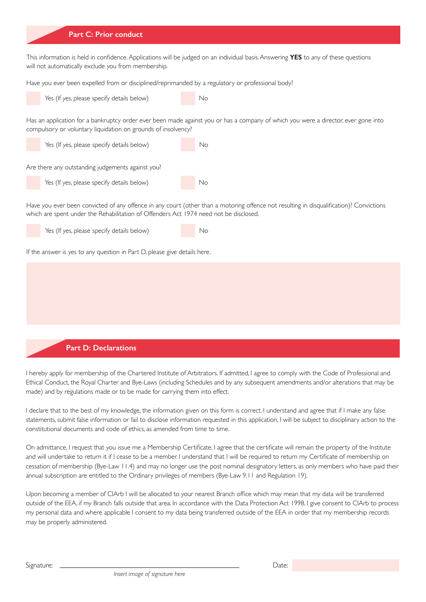### **Part C: Prior conduct**

This information is held in confidence. Applications will be judged on an individual basis. Answering **YES** to any of these questions will not automatically exclude you from membership.

Have you ever been expelled from or disciplined/reprimanded by a regulatory or professional body?



Has an application for a bankruptcy order ever been made against you or has a company of which you were a director, ever gone into compulsory or voluntary liquidation on grounds of insolvency?



Have you ever been convicted of any offence in any court (other than a motoring offence not resulting in disqualification)? Convictions which are spent under the Rehabilitation of Offenders Act 1974 need not be disclosed.

Yes (If yes, please specify details below) No

If the answer is yes to any question in Part D, please give details here.

## **Part D: Declarations**

I hereby apply for membership of the Chartered Institute of Arbitrators. If admitted, I agree to comply with the Code of Professional and Ethical Conduct, the Royal Charter and Bye-Laws (including Schedules and by any subsequent amendments and/or alterations that may be made) and by regulations made or to be made for carrying them into effect.

I declare that to the best of my knowledge, the information given on this form is correct. I understand and agree that if I make any false statements, submit false information or fail to disclose information requested in this application, I will be subject to disciplinary action to the constitutional documents and code of ethics, as amended from time to time.

On admittance, I request that you issue me a Membership Certificate. I agree that the certificate will remain the property of the Institute and will undertake to return it if I cease to be a member. I understand that I will be required to return my Certificate of membership on cessation of membership (Bye-Law 11.4) and may no longer use the post nominal designatory letters, as only members who have paid their annual subscription are entitled to the Ordinary privileges of members (Bye-Law 9.11 and Regulation 19).

Upon becoming a member of CIArb I will be allocated to your nearest Branch office which may mean that my data will be transferred outside of the EEA, if my Branch falls outside that area. In accordance with the Data Protection Act 1998, I give consent to CIArb to process my personal data and where applicable I consent to my data being transferred outside of the EEA in order that my membership records may be properly administered.

Signature: Date: